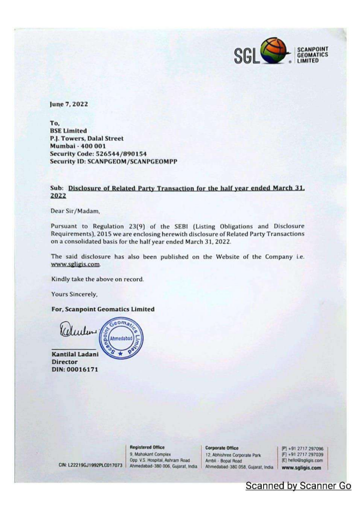

June 7, 2022

To. **BSE Limited** P.J. Towers, Dalal Street Mumbai - 400 001 Security Code: 526544/890154 **Security ID: SCANPGEOM/SCANPGEOMPP** 

## Sub: Disclosure of Related Party Transaction for the half year ended March 31. 2022

Dear Sir/Madam.

Pursuant to Regulation 23(9) of the SEBI (Listing Obligations and Disclosure Requirements), 2015 we are enclosing herewith disclosure of Related Party Transactions on a consolidated basis for the half year ended March 31, 2022.

The said disclosure has also been published on the Website of the Company i.e. www.sgligis.com.

Kindly take the above on record.

Yours Sincerely,

## For, Scanpoint Geomatics Limited

 $e$ oma Kelender Ahmedabad

CIN: L22219GJ1992PLC017073

**Kantilal Ladani Director** DIN: 00016171

**Registered Office** 

9, Mahakant Complex Opp. V.S. Hospital, Ashram Road Ahmedabad-380 006, Gujarat, India **Corporate Office** 

12. Abhishree Corporate Park Ambil - Bopal Road Ahmedabad-380 058, Gujarat, India

[P] +91 2717 297096 [F] +91 2717 297039 [E] hello@sgligis.com www.sgligis.com

**Scanned by Scanner Go**